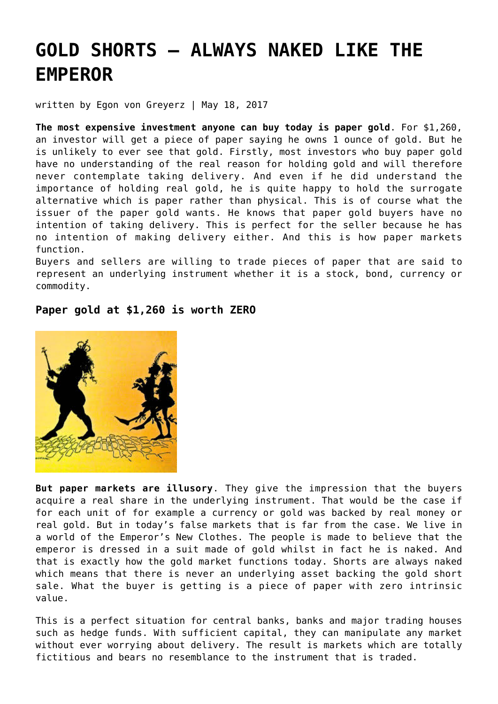# **[GOLD SHORTS – ALWAYS NAKED LIKE THE](https://goldswitzerland.com/gold-shorts-always-naked-like-the-emperor/) [EMPEROR](https://goldswitzerland.com/gold-shorts-always-naked-like-the-emperor/)**

written by Egon von Greyerz | May 18, 2017

**The most expensive investment anyone can buy today is paper gold**. For \$1,260, an investor will get a piece of paper saying he owns 1 ounce of gold. But he is unlikely to ever see that gold. Firstly, most investors who buy paper gold have no understanding of the real reason for holding gold and will therefore never contemplate taking delivery. And even if he did understand the importance of holding real gold, he is quite happy to hold the surrogate alternative which is paper rather than physical. This is of course what the issuer of the paper gold wants. He knows that paper gold buyers have no intention of taking delivery. This is perfect for the seller because he has no intention of making delivery either. And this is how paper markets function.

Buyers and sellers are willing to trade pieces of paper that are said to represent an underlying instrument whether it is a stock, bond, currency or commodity.

#### **Paper gold at \$1,260 is worth ZERO**



**But paper markets are illusory**. They give the impression that the buyers acquire a real share in the underlying instrument. That would be the case if for each unit of for example a currency or gold was backed by real money or real gold. But in today's false markets that is far from the case. We live in a world of the Emperor's New Clothes. The people is made to believe that the emperor is dressed in a suit made of gold whilst in fact he is naked. And that is exactly how the gold market functions today. Shorts are always naked which means that there is never an underlying asset backing the gold short sale. What the buyer is getting is a piece of paper with zero intrinsic value.

This is a perfect situation for central banks, banks and major trading houses such as hedge funds. With sufficient capital, they can manipulate any market without ever worrying about delivery. The result is markets which are totally fictitious and bears no resemblance to the instrument that is traded.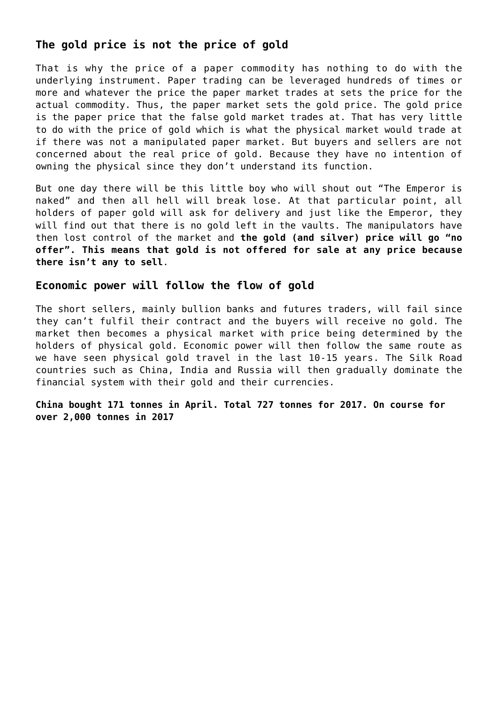## **The gold price is not the price of gold**

That is why the price of a paper commodity has nothing to do with the underlying instrument. Paper trading can be leveraged hundreds of times or more and whatever the price the paper market trades at sets the price for the actual commodity. Thus, the paper market sets the gold price. The gold price is the paper price that the false gold market trades at. That has very little to do with the price of gold which is what the physical market would trade at if there was not a manipulated paper market. But buyers and sellers are not concerned about the real price of gold. Because they have no intention of owning the physical since they don't understand its function.

But one day there will be this little boy who will shout out "The Emperor is naked" and then all hell will break lose. At that particular point, all holders of paper gold will ask for delivery and just like the Emperor, they will find out that there is no gold left in the vaults. The manipulators have then lost control of the market and **the gold (and silver) price will go "no offer". This means that gold is not offered for sale at any price because there isn't any to sell**.

## **Economic power will follow the flow of gold**

The short sellers, mainly bullion banks and futures traders, will fail since they can't fulfil their contract and the buyers will receive no gold. The market then becomes a physical market with price being determined by the holders of physical gold. Economic power will then follow the same route as we have seen physical gold travel in the last 10-15 years. The Silk Road countries such as China, India and Russia will then gradually dominate the financial system with their gold and their currencies.

**China bought 171 tonnes in April. Total 727 tonnes for 2017. On course for over 2,000 tonnes in 2017**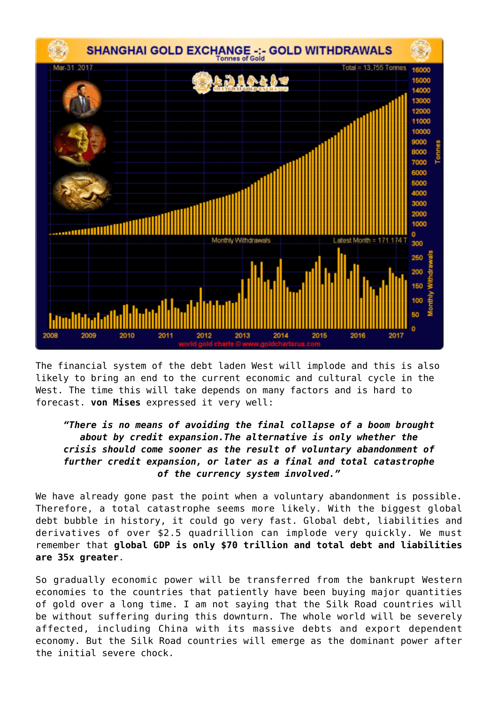

The financial system of the debt laden West will implode and this is also likely to bring an end to the current economic and cultural cycle in the West. The time this will take depends on many factors and is hard to forecast. **von Mises** expressed it very well:

#### *"There is no means of avoiding the final collapse of a boom brought about by credit expansion.The alternative is only whether the crisis should come sooner as the result of voluntary abandonment of further credit expansion, or later as a final and total catastrophe of the currency system involved."*

We have already gone past the point when a voluntary abandonment is possible. Therefore, a total catastrophe seems more likely. With the biggest global debt bubble in history, it could go very fast. Global debt, liabilities and derivatives of over \$2.5 quadrillion can implode very quickly. We must remember that **global GDP is only \$70 trillion and total debt and liabilities are 35x greater**.

So gradually economic power will be transferred from the bankrupt Western economies to the countries that patiently have been buying major quantities of gold over a long time. I am not saying that the Silk Road countries will be without suffering during this downturn. The whole world will be severely affected, including China with its massive debts and export dependent economy. But the Silk Road countries will emerge as the dominant power after the initial severe chock.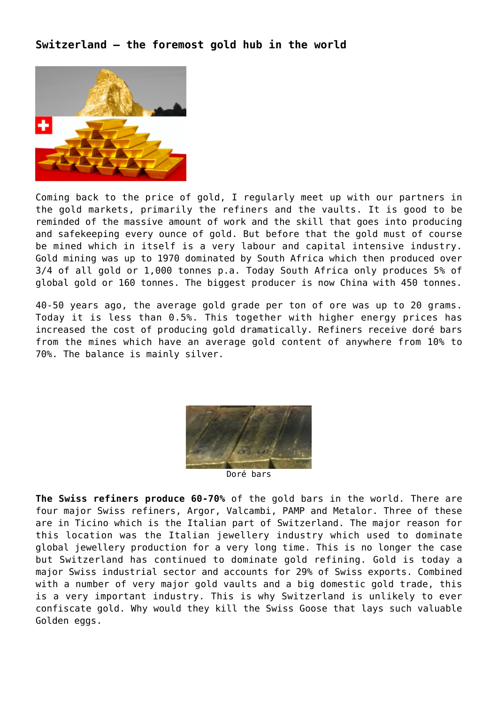## **Switzerland – the foremost gold hub in the world**



Coming back to the price of gold, I regularly meet up with our partners in the gold markets, primarily the refiners and the vaults. It is good to be reminded of the massive amount of work and the skill that goes into producing and safekeeping every ounce of gold. But before that the gold must of course be mined which in itself is a very labour and capital intensive industry. Gold mining was up to 1970 dominated by South Africa which then produced over 3/4 of all gold or 1,000 tonnes p.a. Today South Africa only produces 5% of global gold or 160 tonnes. The biggest producer is now China with 450 tonnes.

40-50 years ago, the average gold grade per ton of ore was up to 20 grams. Today it is less than 0.5%. This together with higher energy prices has increased the cost of producing gold dramatically. Refiners receive doré bars from the mines which have an average gold content of anywhere from 10% to 70%. The balance is mainly silver.



**The Swiss refiners produce 60-70%** of the gold bars in the world. There are four major Swiss refiners, Argor, Valcambi, PAMP and Metalor. Three of these are in Ticino which is the Italian part of Switzerland. The major reason for this location was the Italian jewellery industry which used to dominate global jewellery production for a very long time. This is no longer the case but Switzerland has continued to dominate gold refining. Gold is today a major Swiss industrial sector and accounts for 29% of Swiss exports. Combined with a number of very major gold vaults and a big domestic gold trade, this is a very important industry. This is why Switzerland is unlikely to ever confiscate gold. Why would they kill the Swiss Goose that lays such valuable Golden eggs.